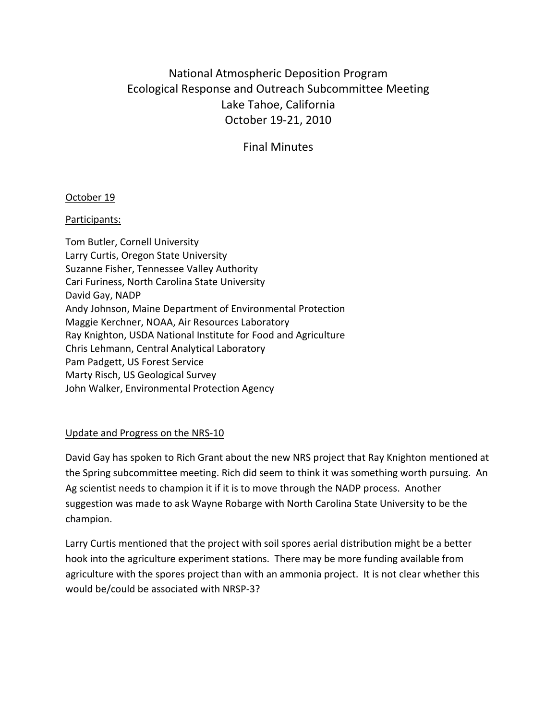# National Atmospheric Deposition Program Ecological Response and Outreach Subcommittee Meeting Lake Tahoe, California October 19-21, 2010

Final Minutes

## October 19

## Participants:

Tom Butler, Cornell University Larry Curtis, Oregon State University Suzanne Fisher, Tennessee Valley Authority Cari Furiness, North Carolina State University David Gay, NADP Andy Johnson, Maine Department of Environmental Protection Maggie Kerchner, NOAA, Air Resources Laboratory Ray Knighton, USDA National Institute for Food and Agriculture Chris Lehmann, Central Analytical Laboratory Pam Padgett, US Forest Service Marty Risch, US Geological Survey John Walker, Environmental Protection Agency

## Update and Progress on the NRS-10

David Gay has spoken to Rich Grant about the new NRS project that Ray Knighton mentioned at the Spring subcommittee meeting. Rich did seem to think it was something worth pursuing. An Ag scientist needs to champion it if it is to move through the NADP process. Another suggestion was made to ask Wayne Robarge with North Carolina State University to be the champion.

Larry Curtis mentioned that the project with soil spores aerial distribution might be a better hook into the agriculture experiment stations. There may be more funding available from agriculture with the spores project than with an ammonia project. It is not clear whether this would be/could be associated with NRSP-3?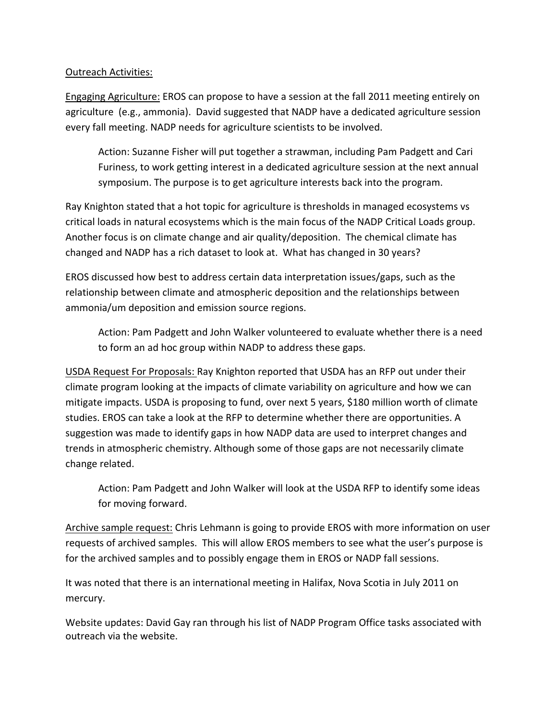### Outreach Activities:

Engaging Agriculture: EROS can propose to have a session at the fall 2011 meeting entirely on agriculture (e.g., ammonia). David suggested that NADP have a dedicated agriculture session every fall meeting. NADP needs for agriculture scientists to be involved.

Action: Suzanne Fisher will put together a strawman, including Pam Padgett and Cari Furiness, to work getting interest in a dedicated agriculture session at the next annual symposium. The purpose is to get agriculture interests back into the program.

Ray Knighton stated that a hot topic for agriculture is thresholds in managed ecosystems vs critical loads in natural ecosystems which is the main focus of the NADP Critical Loads group. Another focus is on climate change and air quality/deposition. The chemical climate has changed and NADP has a rich dataset to look at. What has changed in 30 years?

EROS discussed how best to address certain data interpretation issues/gaps, such as the relationship between climate and atmospheric deposition and the relationships between ammonia/um deposition and emission source regions.

Action: Pam Padgett and John Walker volunteered to evaluate whether there is a need to form an ad hoc group within NADP to address these gaps.

USDA Request For Proposals: Ray Knighton reported that USDA has an RFP out under their climate program looking at the impacts of climate variability on agriculture and how we can mitigate impacts. USDA is proposing to fund, over next 5 years, \$180 million worth of climate studies. EROS can take a look at the RFP to determine whether there are opportunities. A suggestion was made to identify gaps in how NADP data are used to interpret changes and trends in atmospheric chemistry. Although some of those gaps are not necessarily climate change related.

Action: Pam Padgett and John Walker will look at the USDA RFP to identify some ideas for moving forward.

Archive sample request: Chris Lehmann is going to provide EROS with more information on user requests of archived samples. This will allow EROS members to see what the user's purpose is for the archived samples and to possibly engage them in EROS or NADP fall sessions.

It was noted that there is an international meeting in Halifax, Nova Scotia in July 2011 on mercury.

Website updates: David Gay ran through his list of NADP Program Office tasks associated with outreach via the website.